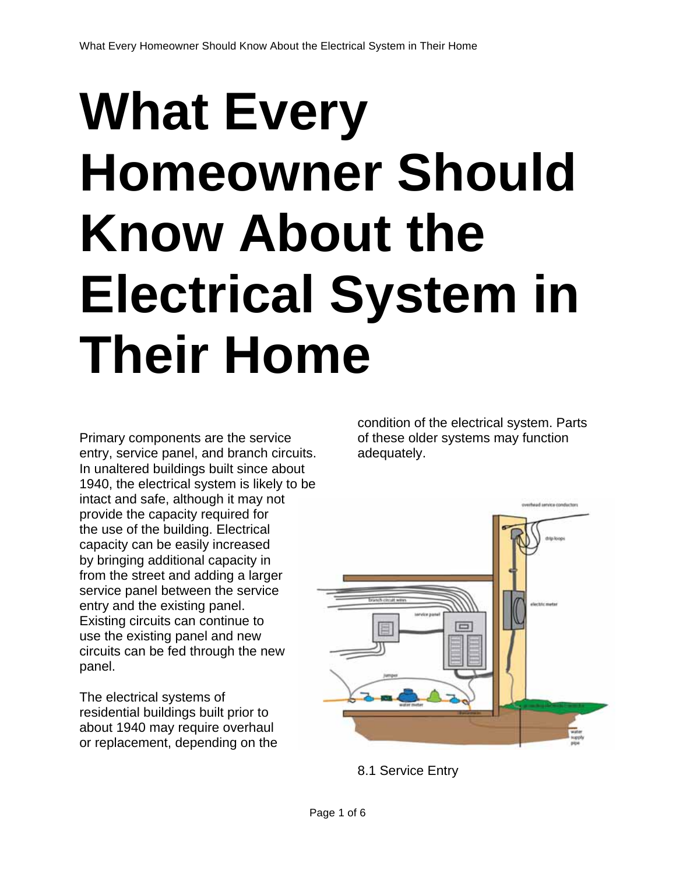## **What Every Homeowner Should Know About the Electrical System in Their Home**

Primary components are the service entry, service panel, and branch circuits. In unaltered buildings built since about 1940, the electrical system is likely to be intact and safe, although it may not provide the capacity required for the use of the building. Electrical capacity can be easily increased by bringing additional capacity in from the street and adding a larger service panel between the service entry and the existing panel. Existing circuits can continue to use the existing panel and new circuits can be fed through the new panel.

The electrical systems of residential buildings built prior to about 1940 may require overhaul or replacement, depending on the condition of the electrical system. Parts of these older systems may function adequately.



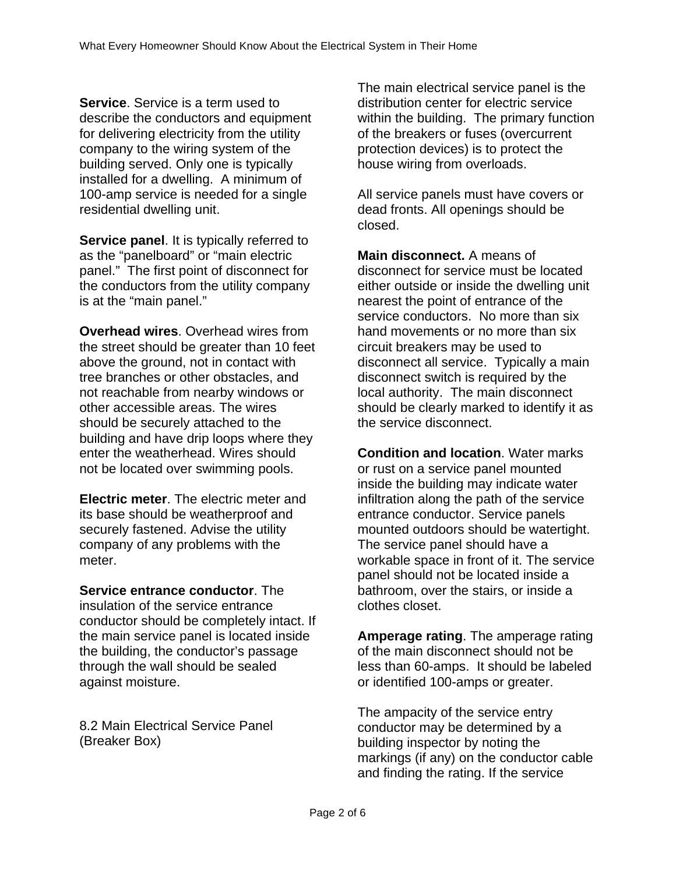**Service**. Service is a term used to describe the conductors and equipment for delivering electricity from the utility company to the wiring system of the building served. Only one is typically installed for a dwelling. A minimum of 100-amp service is needed for a single residential dwelling unit.

**Service panel**. It is typically referred to as the "panelboard" or "main electric panel." The first point of disconnect for the conductors from the utility company is at the "main panel."

**Overhead wires**. Overhead wires from the street should be greater than 10 feet above the ground, not in contact with tree branches or other obstacles, and not reachable from nearby windows or other accessible areas. The wires should be securely attached to the building and have drip loops where they enter the weatherhead. Wires should not be located over swimming pools.

**Electric meter**. The electric meter and its base should be weatherproof and securely fastened. Advise the utility company of any problems with the meter.

**Service entrance conductor**. The insulation of the service entrance conductor should be completely intact. If the main service panel is located inside the building, the conductor's passage through the wall should be sealed against moisture.

8.2 Main Electrical Service Panel (Breaker Box)

The main electrical service panel is the distribution center for electric service within the building. The primary function of the breakers or fuses (overcurrent protection devices) is to protect the house wiring from overloads.

All service panels must have covers or dead fronts. All openings should be closed.

**Main disconnect.** A means of disconnect for service must be located either outside or inside the dwelling unit nearest the point of entrance of the service conductors. No more than six hand movements or no more than six circuit breakers may be used to disconnect all service. Typically a main disconnect switch is required by the local authority. The main disconnect should be clearly marked to identify it as the service disconnect.

**Condition and location**. Water marks or rust on a service panel mounted inside the building may indicate water infiltration along the path of the service entrance conductor. Service panels mounted outdoors should be watertight. The service panel should have a workable space in front of it. The service panel should not be located inside a bathroom, over the stairs, or inside a clothes closet.

**Amperage rating**. The amperage rating of the main disconnect should not be less than 60-amps. It should be labeled or identified 100-amps or greater.

The ampacity of the service entry conductor may be determined by a building inspector by noting the markings (if any) on the conductor cable and finding the rating. If the service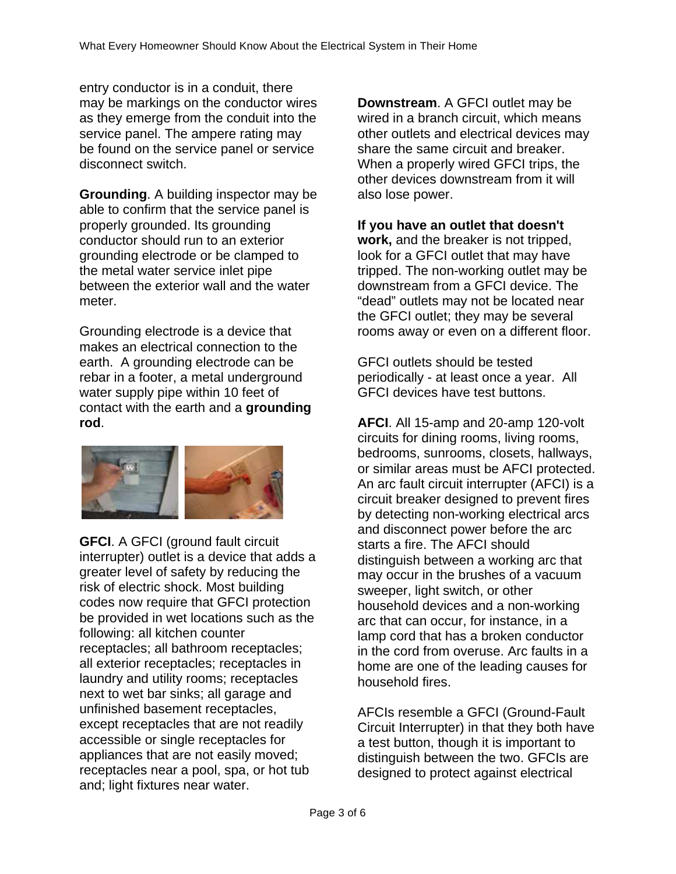entry conductor is in a conduit, there may be markings on the conductor wires as they emerge from the conduit into the service panel. The ampere rating may be found on the service panel or service disconnect switch.

**Grounding**. A building inspector may be able to confirm that the service panel is properly grounded. Its grounding conductor should run to an exterior grounding electrode or be clamped to the metal water service inlet pipe between the exterior wall and the water meter.

Grounding electrode is a device that makes an electrical connection to the earth. A grounding electrode can be rebar in a footer, a metal underground water supply pipe within 10 feet of contact with the earth and a **grounding rod**.



**GFCI**. A GFCI (ground fault circuit interrupter) outlet is a device that adds a greater level of safety by reducing the risk of electric shock. Most building codes now require that GFCI protection be provided in wet locations such as the following: all kitchen counter receptacles; all bathroom receptacles; all exterior receptacles; receptacles in laundry and utility rooms; receptacles next to wet bar sinks; all garage and unfinished basement receptacles, except receptacles that are not readily accessible or single receptacles for appliances that are not easily moved; receptacles near a pool, spa, or hot tub and; light fixtures near water.

**Downstream**. A GFCI outlet may be wired in a branch circuit, which means other outlets and electrical devices may share the same circuit and breaker. When a properly wired GFCI trips, the other devices downstream from it will also lose power.

## **If you have an outlet that doesn't**

**work,** and the breaker is not tripped, look for a GFCI outlet that may have tripped. The non-working outlet may be downstream from a GFCI device. The "dead" outlets may not be located near the GFCI outlet; they may be several rooms away or even on a different floor.

GFCI outlets should be tested periodically - at least once a year. All GFCI devices have test buttons.

**AFCI**. All 15-amp and 20-amp 120-volt circuits for dining rooms, living rooms, bedrooms, sunrooms, closets, hallways, or similar areas must be AFCI protected. An arc fault circuit interrupter (AFCI) is a circuit breaker designed to prevent fires by detecting non-working electrical arcs and disconnect power before the arc starts a fire. The AFCI should distinguish between a working arc that may occur in the brushes of a vacuum sweeper, light switch, or other household devices and a non-working arc that can occur, for instance, in a lamp cord that has a broken conductor in the cord from overuse. Arc faults in a home are one of the leading causes for household fires.

AFCIs resemble a GFCI (Ground-Fault Circuit Interrupter) in that they both have a test button, though it is important to distinguish between the two. GFCIs are designed to protect against electrical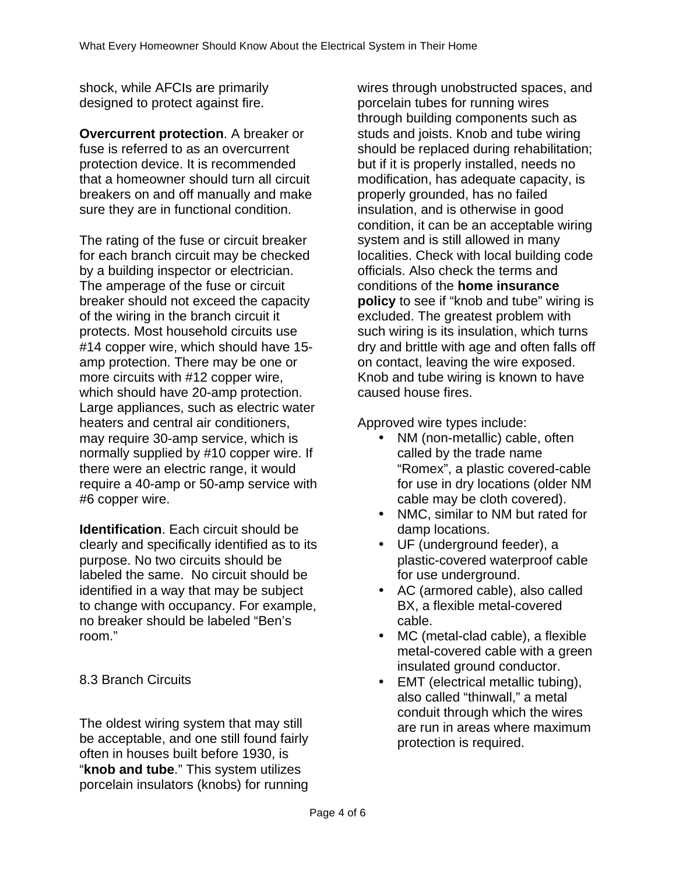shock, while AFCIs are primarily designed to protect against fire.

**Overcurrent protection**. A breaker or fuse is referred to as an overcurrent protection device. It is recommended that a homeowner should turn all circuit breakers on and off manually and make sure they are in functional condition.

The rating of the fuse or circuit breaker for each branch circuit may be checked by a building inspector or electrician. The amperage of the fuse or circuit breaker should not exceed the capacity of the wiring in the branch circuit it protects. Most household circuits use #14 copper wire, which should have 15 amp protection. There may be one or more circuits with #12 copper wire, which should have 20-amp protection. Large appliances, such as electric water heaters and central air conditioners, may require 30-amp service, which is normally supplied by #10 copper wire. If there were an electric range, it would require a 40-amp or 50-amp service with #6 copper wire.

**Identification**. Each circuit should be clearly and specifically identified as to its purpose. No two circuits should be labeled the same. No circuit should be identified in a way that may be subject to change with occupancy. For example, no breaker should be labeled "Ben's room."

8.3 Branch Circuits

The oldest wiring system that may still be acceptable, and one still found fairly often in houses built before 1930, is "**knob and tube**." This system utilizes porcelain insulators (knobs) for running wires through unobstructed spaces, and porcelain tubes for running wires through building components such as studs and joists. Knob and tube wiring should be replaced during rehabilitation; but if it is properly installed, needs no modification, has adequate capacity, is properly grounded, has no failed insulation, and is otherwise in good condition, it can be an acceptable wiring system and is still allowed in many localities. Check with local building code officials. Also check the terms and conditions of the **home insurance policy** to see if "knob and tube" wiring is excluded. The greatest problem with such wiring is its insulation, which turns dry and brittle with age and often falls off on contact, leaving the wire exposed. Knob and tube wiring is known to have caused house fires.

Approved wire types include:

- NM (non-metallic) cable, often called by the trade name "Romex", a plastic covered-cable for use in dry locations (older NM cable may be cloth covered).
- NMC, similar to NM but rated for damp locations.
- UF (underground feeder), a plastic-covered waterproof cable for use underground.
- AC (armored cable), also called BX, a flexible metal-covered cable.
- MC (metal-clad cable), a flexible metal-covered cable with a green insulated ground conductor.
- EMT (electrical metallic tubing), also called "thinwall," a metal conduit through which the wires are run in areas where maximum protection is required.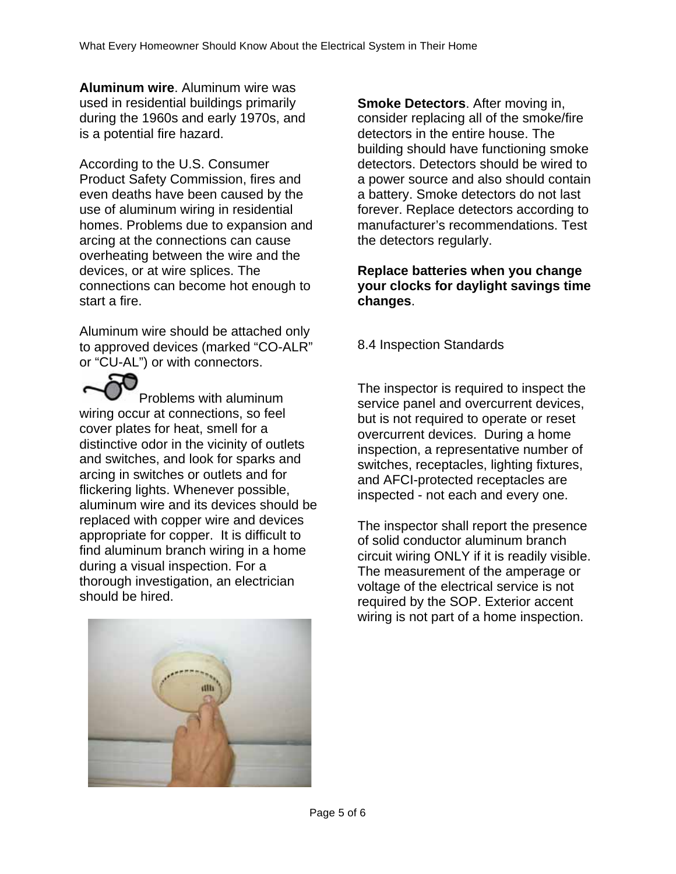**Aluminum wire**. Aluminum wire was used in residential buildings primarily during the 1960s and early 1970s, and is a potential fire hazard.

According to the U.S. Consumer Product Safety Commission, fires and even deaths have been caused by the use of aluminum wiring in residential homes. Problems due to expansion and arcing at the connections can cause overheating between the wire and the devices, or at wire splices. The connections can become hot enough to start a fire.

Aluminum wire should be attached only to approved devices (marked "CO-ALR" or "CU-AL") or with connectors.

Problems with aluminum wiring occur at connections, so feel cover plates for heat, smell for a distinctive odor in the vicinity of outlets and switches, and look for sparks and arcing in switches or outlets and for flickering lights. Whenever possible, aluminum wire and its devices should be replaced with copper wire and devices appropriate for copper. It is difficult to find aluminum branch wiring in a home during a visual inspection. For a thorough investigation, an electrician should be hired.

**Smoke Detectors**. After moving in, consider replacing all of the smoke/fire detectors in the entire house. The building should have functioning smoke detectors. Detectors should be wired to a power source and also should contain a battery. Smoke detectors do not last forever. Replace detectors according to manufacturer's recommendations. Test the detectors regularly.

## **Replace batteries when you change your clocks for daylight savings time changes**.

8.4 Inspection Standards

The inspector is required to inspect the service panel and overcurrent devices, but is not required to operate or reset overcurrent devices. During a home inspection, a representative number of switches, receptacles, lighting fixtures, and AFCI-protected receptacles are inspected - not each and every one.

The inspector shall report the presence of solid conductor aluminum branch circuit wiring ONLY if it is readily visible. The measurement of the amperage or voltage of the electrical service is not required by the SOP. Exterior accent wiring is not part of a home inspection.